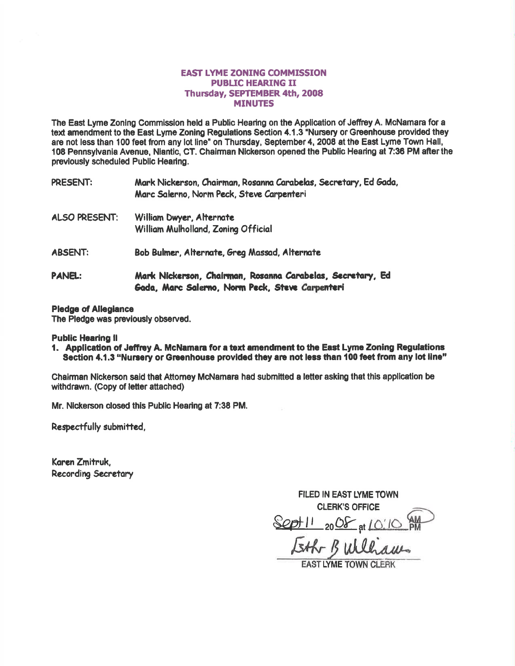## **EAST LYME ZONING COMMISSION PUBLIC HEARING II** Thursday, SEPTEMBER 4th, 2008 **MINUTES**

The East Lyme Zonlng Commisslon held a Public Hearing on the Appllcation of Jeffiey A. McNamara for a text amendment to the East Lyme Zoning Regulations Section 4.1.3 "Nursery or Greenhouse provided they are not less than 100 feet fom any lot line" on Thursday, September 4, 2008 at the East Lyme Town Hall, 108 Pennsylvania Avenue, Niantic, CT. Chairman Nickerson opened the Public Hearing at 7:36 PM after the previously scheduled Public Hearing.

| PRESENT:             | Mark Nickerson, Chairman, Rosanna Carabelas, Secretary, Ed Gada,<br>Marc Salerno, Norm Peck, Steve Carpenteri |
|----------------------|---------------------------------------------------------------------------------------------------------------|
| <b>ALSO PRESENT:</b> | William Dwyer, Alternate<br>William Mulholland, Zoning Official                                               |
| <b>ABSENT:</b>       | Bob Bulmer, Alternate, Greg Massad, Alternate                                                                 |
| <b>PANEL:</b>        | Mark Nickerson, Chairman, Rosanna Carabelas, Secretary, Ed<br>Gada, Marc Salerno, Norm Peck, Steve Carpenteri |

## Pledge of Allegiance

The Pledge was previously observed.

Public Hearing II<br>1. Application of Jeffrey A. McNamara for a text amendment to the East Lyme Zoning Regulations Section 4.1.3 "Nursery or Greenhouse provided they are not less than 100 feet from any lot line"

Ghairman Nickerson said that Attomey McNamara had submitted a letter asking that this appllcation be withdrawn. (Copy of letter attached)

Mr. Nlckerson closed this Public Heafing at 7:38 PM.

Respectfully submitted,

Karen Zmitruk. Recording Secretary

FILED IN EAST LYME TOWN CLERK'S OFFICE Sept 11 2008 at Eth Bulliaus

**EAST LYME TOWN CLERK**